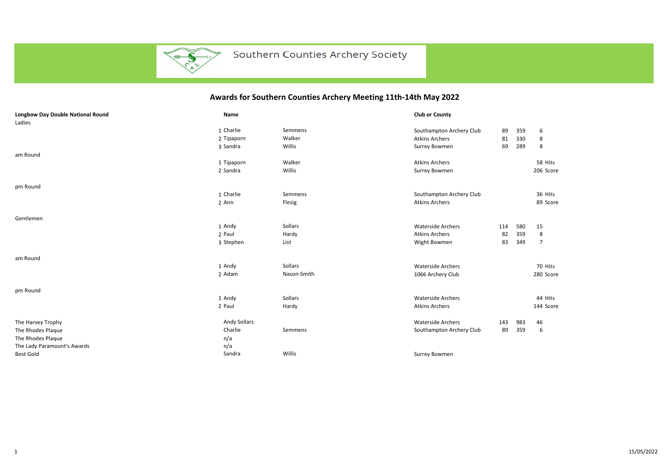

## Southern Counties Archery Society

## **Awards for Southern Counties Archery Meeting 11th-14th May 2022**

| <b>Longbow Day Double National Round</b><br>Ladies | Name                |             | <b>Club or County</b>    |     |     |                |
|----------------------------------------------------|---------------------|-------------|--------------------------|-----|-----|----------------|
|                                                    | 1 Charlie           | Semmens     | Southampton Archery Club | 89  | 359 | 6              |
|                                                    | 2 Tipaporn          | Walker      | <b>Atkins Archers</b>    | 81  | 330 | 8              |
|                                                    | 3 Sandra            | Willis      | Surrey Bowmen            | 69  | 289 | 8              |
| am Round                                           |                     |             |                          |     |     |                |
|                                                    | 1 Tipaporn          | Walker      | <b>Atkins Archers</b>    |     |     | 58 Hits        |
|                                                    | 2 Sandra            | Willis      | Surrey Bowmen            |     |     | 206 Score      |
|                                                    |                     |             |                          |     |     |                |
| pm Round                                           |                     |             |                          |     |     |                |
|                                                    | 1 Charlie           | Semmens     | Southampton Archery Club |     |     | 36 Hits        |
|                                                    | 2 Ann               | Flesig      | <b>Atkins Archers</b>    |     |     | 89 Score       |
|                                                    |                     |             |                          |     |     |                |
| Gentlemen                                          |                     |             |                          |     |     |                |
|                                                    | 1 Andy              | Sollars     | <b>Waterside Archers</b> | 114 | 580 | 15             |
|                                                    | 2 Paul              | Hardy       | <b>Atkins Archers</b>    | 82  | 359 | 8              |
|                                                    | 3 Stephen           | List        | Wight Bowmen             | 83  | 349 | $\overline{7}$ |
|                                                    |                     |             |                          |     |     |                |
| am Round                                           |                     |             |                          |     |     |                |
|                                                    | 1 Andy              | Sollars     | <b>Waterside Archers</b> |     |     | 70 Hits        |
|                                                    | 2 Adam              | Nason-Smith | 1066 Archery Club        |     |     | 280 Score      |
|                                                    |                     |             |                          |     |     |                |
| pm Round                                           |                     |             |                          |     |     |                |
|                                                    | 1 Andy              | Sollars     | <b>Waterside Archers</b> |     |     | 44 Hits        |
|                                                    | 2 Paul              | Hardy       | <b>Atkins Archers</b>    |     |     | 144 Score      |
| The Harvey Trophy                                  | <b>Andy Sollars</b> |             | <b>Waterside Archers</b> | 143 | 983 | 46             |
| The Rhodes Plaque                                  | Charlie             | Semmens     | Southampton Archery Club | 89  | 359 | 6              |
| The Rhodes Plaque                                  | n/a                 |             |                          |     |     |                |
| The Lady Paramount's Awards                        | n/a                 |             |                          |     |     |                |
| <b>Best Gold</b>                                   | Sandra              | Willis      | Surrey Bowmen            |     |     |                |
|                                                    |                     |             |                          |     |     |                |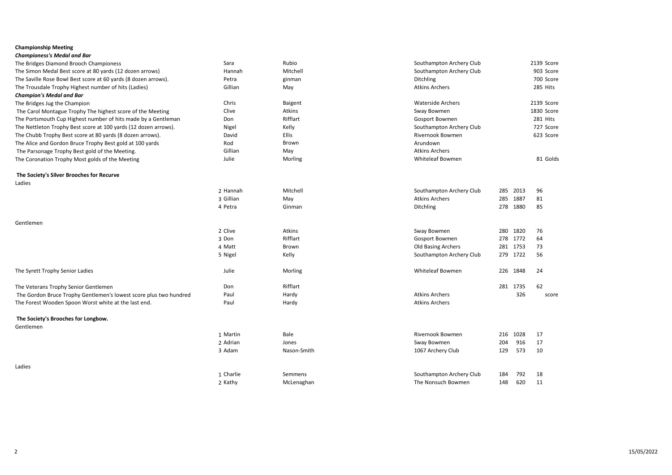## **Championship Meeting**

| Championess's Medal and Bar                                       |           |              |                          |     |          |            |
|-------------------------------------------------------------------|-----------|--------------|--------------------------|-----|----------|------------|
| The Bridges Diamond Brooch Championess                            | Sara      | Rubio        | Southampton Archery Club |     |          | 2139 Score |
| The Simon Medal Best score at 80 yards (12 dozen arrows)          | Hannah    | Mitchell     | Southampton Archery Club |     |          | 903 Score  |
| The Saville Rose Bowl Best score at 60 yards (8 dozen arrows).    | Petra     | ginman       | <b>Ditchling</b>         |     |          | 700 Score  |
| The Trousdale Trophy Highest number of hits (Ladies)              | Gillian   | May          | <b>Atkins Archers</b>    |     |          | 285 Hits   |
| <b>Champion's Medal and Bar</b>                                   |           |              |                          |     |          |            |
| The Bridges Jug the Champion                                      | Chris     | Baigent      | <b>Waterside Archers</b> |     |          | 2139 Score |
| The Carol Montague Trophy The highest score of the Meeting        | Clive     | Atkins       | Sway Bowmen              |     |          | 1830 Score |
| The Portsmouth Cup Highest number of hits made by a Gentleman     | Don       | Rifflart     | <b>Gosport Bowmen</b>    |     |          | 281 Hits   |
| The Nettleton Trophy Best score at 100 yards (12 dozen arrows).   | Nigel     | Kelly        | Southampton Archery Club |     |          | 727 Score  |
| The Chubb Trophy Best score at 80 yards (8 dozen arrows).         | David     | <b>Ellis</b> | <b>Rivernook Bowmen</b>  |     |          | 623 Score  |
| The Alice and Gordon Bruce Trophy Best gold at 100 yards          | Rod       | Brown        | Arundown                 |     |          |            |
| The Parsonage Trophy Best gold of the Meeting.                    | Gillian   | May          | <b>Atkins Archers</b>    |     |          |            |
| The Coronation Trophy Most golds of the Meeting                   | Julie     | Morling      | <b>Whiteleaf Bowmen</b>  |     |          | 81 Golds   |
| The Society's Silver Brooches for Recurve                         |           |              |                          |     |          |            |
| Ladies                                                            |           |              |                          |     |          |            |
|                                                                   | 2 Hannah  | Mitchell     | Southampton Archery Club | 285 | 2013     | 96         |
|                                                                   | 3 Gillian | May          | <b>Atkins Archers</b>    | 285 | 1887     | 81         |
|                                                                   | 4 Petra   | Ginman       | Ditchling                | 278 | 1880     | 85         |
| Gentlemen                                                         |           |              |                          |     |          |            |
|                                                                   | 2 Clive   | Atkins       | Sway Bowmen              | 280 | 1820     | 76         |
|                                                                   | 3 Don     | Rifflart     | Gosport Bowmen           | 278 | 1772     | 64         |
|                                                                   | 4 Matt    | Brown        | Old Basing Archers       |     | 281 1753 | 73         |
|                                                                   | 5 Nigel   | Kelly        | Southampton Archery Club |     | 279 1722 | 56         |
| The Syrett Trophy Senior Ladies                                   | Julie     | Morling      | <b>Whiteleaf Bowmen</b>  |     | 226 1848 | 24         |
| The Veterans Trophy Senior Gentlemen                              | Don       | Rifflart     |                          |     | 281 1735 | 62         |
| The Gordon Bruce Trophy Gentlemen's lowest score plus two hundred | Paul      | Hardy        | <b>Atkins Archers</b>    |     | 326      | score      |
| The Forest Wooden Spoon Worst white at the last end.              | Paul      | Hardy        | <b>Atkins Archers</b>    |     |          |            |
| The Society's Brooches for Longbow.                               |           |              |                          |     |          |            |
| Gentlemen                                                         |           |              |                          |     |          |            |
|                                                                   | 1 Martin  | Bale         | Rivernook Bowmen         | 216 | 1028     | 17         |
|                                                                   | 2 Adrian  | Jones        | Sway Bowmen              | 204 | 916      | 17         |
|                                                                   | 3 Adam    | Nason-Smith  | 1067 Archery Club        | 129 | 573      | 10         |
| Ladies                                                            |           |              |                          |     |          |            |
|                                                                   | 1 Charlie | Semmens      | Southampton Archery Club | 184 | 792      | 18         |
|                                                                   | 2 Kathy   | McLenaghan   | The Nonsuch Bowmen       | 148 | 620      | 11         |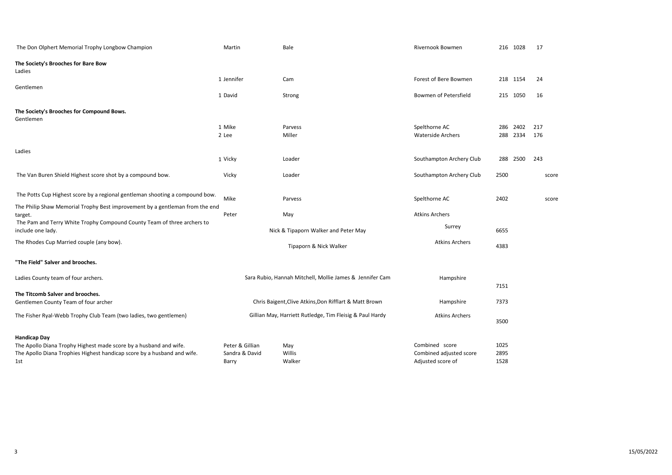| The Don Olphert Memorial Trophy Longbow Champion                                             | Martin          | Bale                                                     | Rivernook Bowmen         |      | 216 1028 | 17    |
|----------------------------------------------------------------------------------------------|-----------------|----------------------------------------------------------|--------------------------|------|----------|-------|
| The Society's Brooches for Bare Bow<br>Ladies                                                |                 |                                                          |                          |      |          |       |
|                                                                                              | 1 Jennifer      | Cam                                                      | Forest of Bere Bowmen    |      | 218 1154 | 24    |
| Gentlemen                                                                                    | 1 David         | Strong                                                   | Bowmen of Petersfield    |      | 215 1050 | 16    |
| The Society's Brooches for Compound Bows.<br>Gentlemen                                       |                 |                                                          |                          |      |          |       |
|                                                                                              | 1 Mike          | Parvess                                                  | Spelthorne AC            | 286  | 2402     | 217   |
|                                                                                              | 2 Lee           | Miller                                                   | <b>Waterside Archers</b> | 288  | 2334     | 176   |
| Ladies                                                                                       |                 |                                                          |                          |      |          |       |
|                                                                                              | 1 Vicky         | Loader                                                   | Southampton Archery Club | 288  | 2500     | 243   |
| The Van Buren Shield Highest score shot by a compound bow.                                   | Vicky           | Loader                                                   | Southampton Archery Club | 2500 |          | score |
| The Potts Cup Highest score by a regional gentleman shooting a compound bow.                 | Mike            | Parvess                                                  | Spelthorne AC            | 2402 |          | score |
| The Philip Shaw Memorial Trophy Best improvement by a gentleman from the end<br>target.      | Peter           | May                                                      | <b>Atkins Archers</b>    |      |          |       |
| The Pam and Terry White Trophy Compound County Team of three archers to<br>include one lady. |                 | Nick & Tipaporn Walker and Peter May                     | Surrey                   | 6655 |          |       |
| The Rhodes Cup Married couple (any bow).                                                     |                 | Tipaporn & Nick Walker                                   | <b>Atkins Archers</b>    | 4383 |          |       |
| "The Field" Salver and brooches.                                                             |                 |                                                          |                          |      |          |       |
| Ladies County team of four archers.                                                          |                 | Sara Rubio, Hannah Mitchell, Mollie James & Jennifer Cam | Hampshire                |      |          |       |
| The Titcomb Salver and brooches.                                                             |                 |                                                          |                          | 7151 |          |       |
| Gentlemen County Team of four archer                                                         |                 | Chris Baigent, Clive Atkins, Don Rifflart & Matt Brown   | Hampshire                | 7373 |          |       |
| The Fisher Ryal-Webb Trophy Club Team (two ladies, two gentlemen)                            |                 | Gillian May, Harriett Rutledge, Tim Fleisig & Paul Hardy | <b>Atkins Archers</b>    | 3500 |          |       |
| <b>Handicap Day</b>                                                                          |                 |                                                          |                          |      |          |       |
| The Apollo Diana Trophy Highest made score by a husband and wife.                            | Peter & Gillian | May                                                      | Combined score           | 1025 |          |       |
| The Apollo Diana Trophies Highest handicap score by a husband and wife.                      | Sandra & David  | Willis                                                   | Combined adjusted score  | 2895 |          |       |
| 1st                                                                                          | Barry           | Walker                                                   | Adjusted score of        | 1528 |          |       |